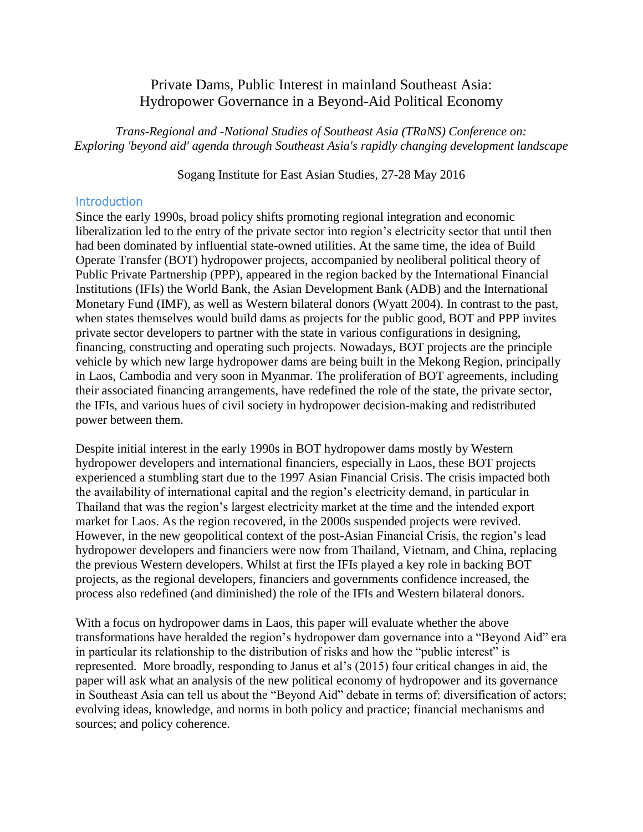# Private Dams, Public Interest in mainland Southeast Asia: Hydropower Governance in a Beyond-Aid Political Economy

*Trans-Regional and -National Studies of Southeast Asia (TRaNS) Conference on: Exploring 'beyond aid' agenda through Southeast Asia's rapidly changing development landscape*

Sogang Institute for East Asian Studies, 27-28 May 2016

## **Introduction**

Since the early 1990s, broad policy shifts promoting regional integration and economic liberalization led to the entry of the private sector into region's electricity sector that until then had been dominated by influential state-owned utilities. At the same time, the idea of Build Operate Transfer (BOT) hydropower projects, accompanied by neoliberal political theory of Public Private Partnership (PPP), appeared in the region backed by the International Financial Institutions (IFIs) the World Bank, the Asian Development Bank (ADB) and the International Monetary Fund (IMF), as well as Western bilateral donors (Wyatt 2004). In contrast to the past, when states themselves would build dams as projects for the public good, BOT and PPP invites private sector developers to partner with the state in various configurations in designing, financing, constructing and operating such projects. Nowadays, BOT projects are the principle vehicle by which new large hydropower dams are being built in the Mekong Region, principally in Laos, Cambodia and very soon in Myanmar. The proliferation of BOT agreements, including their associated financing arrangements, have redefined the role of the state, the private sector, the IFIs, and various hues of civil society in hydropower decision-making and redistributed power between them.

Despite initial interest in the early 1990s in BOT hydropower dams mostly by Western hydropower developers and international financiers, especially in Laos, these BOT projects experienced a stumbling start due to the 1997 Asian Financial Crisis. The crisis impacted both the availability of international capital and the region's electricity demand, in particular in Thailand that was the region's largest electricity market at the time and the intended export market for Laos. As the region recovered, in the 2000s suspended projects were revived. However, in the new geopolitical context of the post-Asian Financial Crisis, the region's lead hydropower developers and financiers were now from Thailand, Vietnam, and China, replacing the previous Western developers. Whilst at first the IFIs played a key role in backing BOT projects, as the regional developers, financiers and governments confidence increased, the process also redefined (and diminished) the role of the IFIs and Western bilateral donors.

With a focus on hydropower dams in Laos, this paper will evaluate whether the above transformations have heralded the region's hydropower dam governance into a "Beyond Aid" era in particular its relationship to the distribution of risks and how the "public interest" is represented. More broadly, responding to Janus et al's (2015) four critical changes in aid, the paper will ask what an analysis of the new political economy of hydropower and its governance in Southeast Asia can tell us about the "Beyond Aid" debate in terms of: diversification of actors; evolving ideas, knowledge, and norms in both policy and practice; financial mechanisms and sources; and policy coherence.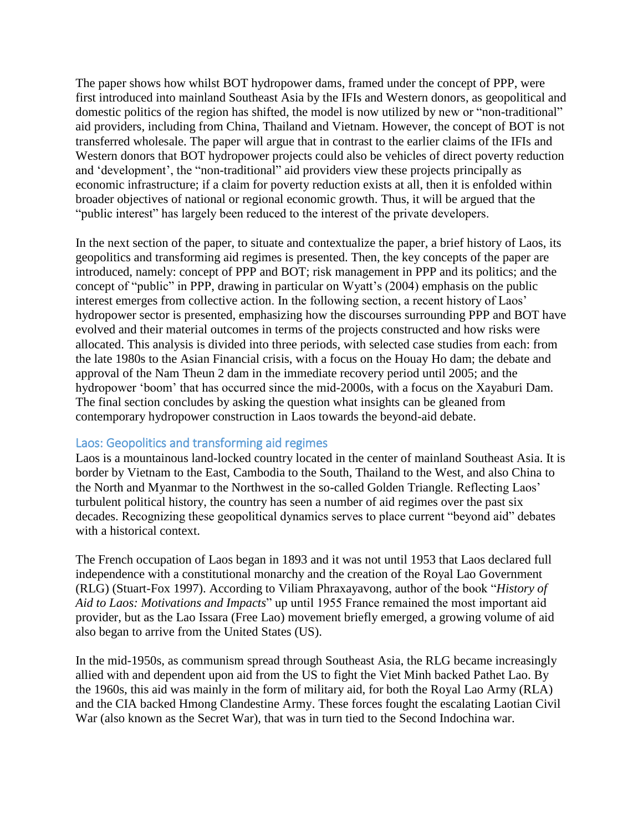The paper shows how whilst BOT hydropower dams, framed under the concept of PPP, were first introduced into mainland Southeast Asia by the IFIs and Western donors, as geopolitical and domestic politics of the region has shifted, the model is now utilized by new or "non-traditional" aid providers, including from China, Thailand and Vietnam. However, the concept of BOT is not transferred wholesale. The paper will argue that in contrast to the earlier claims of the IFIs and Western donors that BOT hydropower projects could also be vehicles of direct poverty reduction and 'development', the "non-traditional" aid providers view these projects principally as economic infrastructure; if a claim for poverty reduction exists at all, then it is enfolded within broader objectives of national or regional economic growth. Thus, it will be argued that the "public interest" has largely been reduced to the interest of the private developers.

In the next section of the paper, to situate and contextualize the paper, a brief history of Laos, its geopolitics and transforming aid regimes is presented. Then, the key concepts of the paper are introduced, namely: concept of PPP and BOT; risk management in PPP and its politics; and the concept of "public" in PPP, drawing in particular on Wyatt's (2004) emphasis on the public interest emerges from collective action. In the following section, a recent history of Laos' hydropower sector is presented, emphasizing how the discourses surrounding PPP and BOT have evolved and their material outcomes in terms of the projects constructed and how risks were allocated. This analysis is divided into three periods, with selected case studies from each: from the late 1980s to the Asian Financial crisis, with a focus on the Houay Ho dam; the debate and approval of the Nam Theun 2 dam in the immediate recovery period until 2005; and the hydropower 'boom' that has occurred since the mid-2000s, with a focus on the Xayaburi Dam. The final section concludes by asking the question what insights can be gleaned from contemporary hydropower construction in Laos towards the beyond-aid debate.

# Laos: Geopolitics and transforming aid regimes

Laos is a mountainous land-locked country located in the center of mainland Southeast Asia. It is border by Vietnam to the East, Cambodia to the South, Thailand to the West, and also China to the North and Myanmar to the Northwest in the so-called Golden Triangle. Reflecting Laos' turbulent political history, the country has seen a number of aid regimes over the past six decades. Recognizing these geopolitical dynamics serves to place current "beyond aid" debates with a historical context.

The French occupation of Laos began in 1893 and it was not until 1953 that Laos declared full independence with a constitutional monarchy and the creation of the Royal Lao Government (RLG) (Stuart-Fox 1997). According to Viliam Phraxayavong, author of the book "*History of Aid to Laos: Motivations and Impacts*" up until 1955 France remained the most important aid provider, but as the Lao Issara (Free Lao) movement briefly emerged, a growing volume of aid also began to arrive from the United States (US).

In the mid-1950s, as communism spread through Southeast Asia, the RLG became increasingly allied with and dependent upon aid from the US to fight the Viet Minh backed Pathet Lao. By the 1960s, this aid was mainly in the form of military aid, for both the Royal Lao Army (RLA) and the CIA backed Hmong Clandestine Army. These forces fought the escalating Laotian Civil War (also known as the Secret War), that was in turn tied to the Second Indochina war.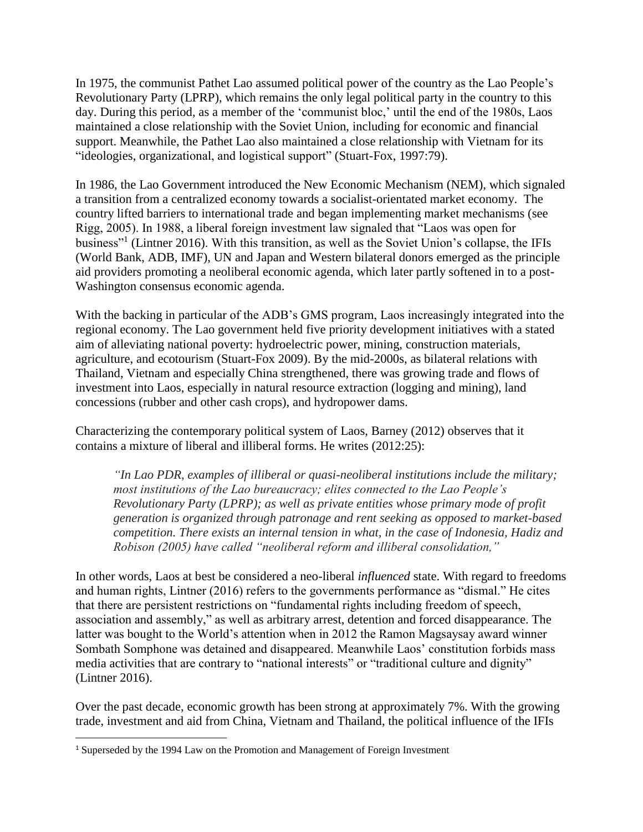In 1975, the communist Pathet Lao assumed political power of the country as the Lao People's Revolutionary Party (LPRP), which remains the only legal political party in the country to this day. During this period, as a member of the 'communist bloc,' until the end of the 1980s, Laos maintained a close relationship with the Soviet Union, including for economic and financial support. Meanwhile, the Pathet Lao also maintained a close relationship with Vietnam for its "ideologies, organizational, and logistical support" (Stuart-Fox, 1997:79).

In 1986, the Lao Government introduced the New Economic Mechanism (NEM), which signaled a transition from a centralized economy towards a socialist-orientated market economy. The country lifted barriers to international trade and began implementing market mechanisms (see Rigg, 2005). In 1988, a liberal foreign investment law signaled that "Laos was open for business"<sup>1</sup> (Lintner 2016). With this transition, as well as the Soviet Union's collapse, the IFIs (World Bank, ADB, IMF), UN and Japan and Western bilateral donors emerged as the principle aid providers promoting a neoliberal economic agenda, which later partly softened in to a post-Washington consensus economic agenda.

With the backing in particular of the ADB's GMS program, Laos increasingly integrated into the regional economy. The Lao government held five priority development initiatives with a stated aim of alleviating national poverty: hydroelectric power, mining, construction materials, agriculture, and ecotourism (Stuart-Fox 2009). By the mid-2000s, as bilateral relations with Thailand, Vietnam and especially China strengthened, there was growing trade and flows of investment into Laos, especially in natural resource extraction (logging and mining), land concessions (rubber and other cash crops), and hydropower dams.

Characterizing the contemporary political system of Laos, Barney (2012) observes that it contains a mixture of liberal and illiberal forms. He writes (2012:25):

*"In Lao PDR, examples of illiberal or quasi-neoliberal institutions include the military; most institutions of the Lao bureaucracy; elites connected to the Lao People's Revolutionary Party (LPRP); as well as private entities whose primary mode of profit generation is organized through patronage and rent seeking as opposed to market-based competition. There exists an internal tension in what, in the case of Indonesia, Hadiz and Robison (2005) have called "neoliberal reform and illiberal consolidation,"*

In other words, Laos at best be considered a neo-liberal *influenced* state. With regard to freedoms and human rights, Lintner (2016) refers to the governments performance as "dismal." He cites that there are persistent restrictions on "fundamental rights including freedom of speech, association and assembly," as well as arbitrary arrest, detention and forced disappearance. The latter was bought to the World's attention when in 2012 the Ramon Magsaysay award winner Sombath Somphone was detained and disappeared. Meanwhile Laos' constitution forbids mass media activities that are contrary to "national interests" or "traditional culture and dignity" (Lintner 2016).

Over the past decade, economic growth has been strong at approximately 7%. With the growing trade, investment and aid from China, Vietnam and Thailand, the political influence of the IFIs

 $\overline{\phantom{a}}$ 

<sup>&</sup>lt;sup>1</sup> Superseded by the 1994 Law on the Promotion and Management of Foreign Investment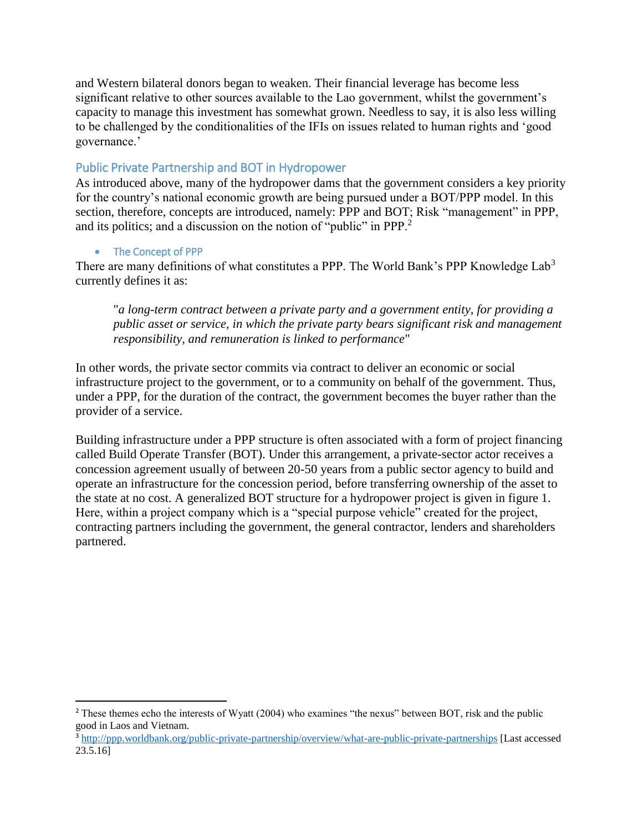and Western bilateral donors began to weaken. Their financial leverage has become less significant relative to other sources available to the Lao government, whilst the government's capacity to manage this investment has somewhat grown. Needless to say, it is also less willing to be challenged by the conditionalities of the IFIs on issues related to human rights and 'good governance.'

# Public Private Partnership and BOT in Hydropower

As introduced above, many of the hydropower dams that the government considers a key priority for the country's national economic growth are being pursued under a BOT/PPP model. In this section, therefore, concepts are introduced, namely: PPP and BOT; Risk "management" in PPP, and its politics; and a discussion on the notion of "public" in PPP.<sup>2</sup>

# • The Concept of PPP

 $\overline{a}$ 

There are many definitions of what constitutes a PPP. The World Bank's PPP Knowledge Lab<sup>3</sup> currently defines it as:

"*a long-term contract between a private party and a government entity, for providing a public asset or service, in which the private party bears significant risk and management responsibility, and remuneration is linked to performance*"

In other words, the private sector commits via contract to deliver an economic or social infrastructure project to the government, or to a community on behalf of the government. Thus, under a PPP, for the duration of the contract, the government becomes the buyer rather than the provider of a service.

Building infrastructure under a PPP structure is often associated with a form of project financing called Build Operate Transfer (BOT). Under this arrangement, a private-sector actor receives a concession agreement usually of between 20-50 years from a public sector agency to build and operate an infrastructure for the concession period, before transferring ownership of the asset to the state at no cost. A generalized BOT structure for a hydropower project is given in figure 1. Here, within a project company which is a "special purpose vehicle" created for the project, contracting partners including the government, the general contractor, lenders and shareholders partnered.

<sup>&</sup>lt;sup>2</sup> These themes echo the interests of Wyatt (2004) who examines "the nexus" between BOT, risk and the public good in Laos and Vietnam.

<sup>&</sup>lt;sup>3</sup> <http://ppp.worldbank.org/public-private-partnership/overview/what-are-public-private-partnerships> [Last accessed 23.5.16]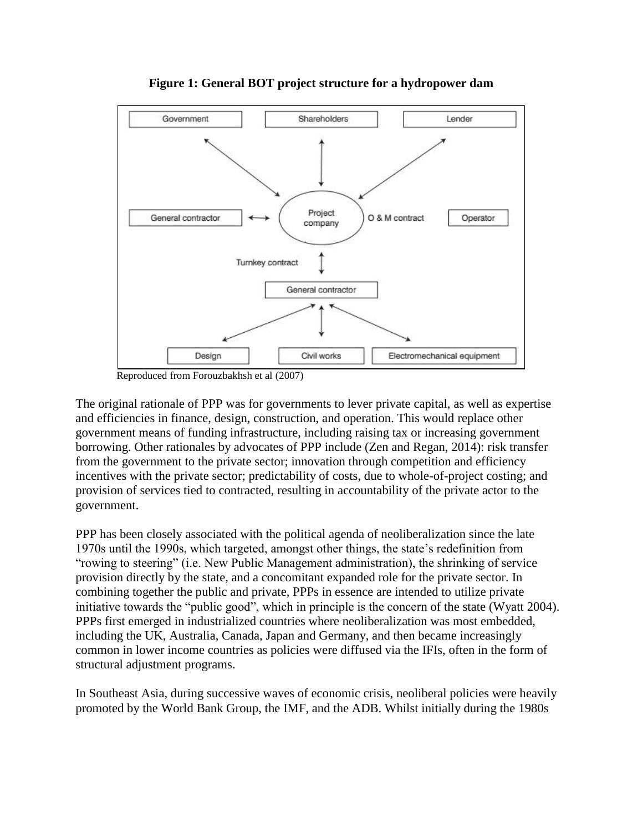

**Figure 1: General BOT project structure for a hydropower dam**

Reproduced from Forouzbakhsh et al (2007)

The original rationale of PPP was for governments to lever private capital, as well as expertise and efficiencies in finance, design, construction, and operation. This would replace other government means of funding infrastructure, including raising tax or increasing government borrowing. Other rationales by advocates of PPP include (Zen and Regan, 2014): risk transfer from the government to the private sector; innovation through competition and efficiency incentives with the private sector; predictability of costs, due to whole-of-project costing; and provision of services tied to contracted, resulting in accountability of the private actor to the government.

PPP has been closely associated with the political agenda of neoliberalization since the late 1970s until the 1990s, which targeted, amongst other things, the state's redefinition from "rowing to steering" (i.e. New Public Management administration), the shrinking of service provision directly by the state, and a concomitant expanded role for the private sector. In combining together the public and private, PPPs in essence are intended to utilize private initiative towards the "public good", which in principle is the concern of the state (Wyatt 2004). PPPs first emerged in industrialized countries where neoliberalization was most embedded, including the UK, Australia, Canada, Japan and Germany, and then became increasingly common in lower income countries as policies were diffused via the IFIs, often in the form of structural adjustment programs.

In Southeast Asia, during successive waves of economic crisis, neoliberal policies were heavily promoted by the World Bank Group, the IMF, and the ADB. Whilst initially during the 1980s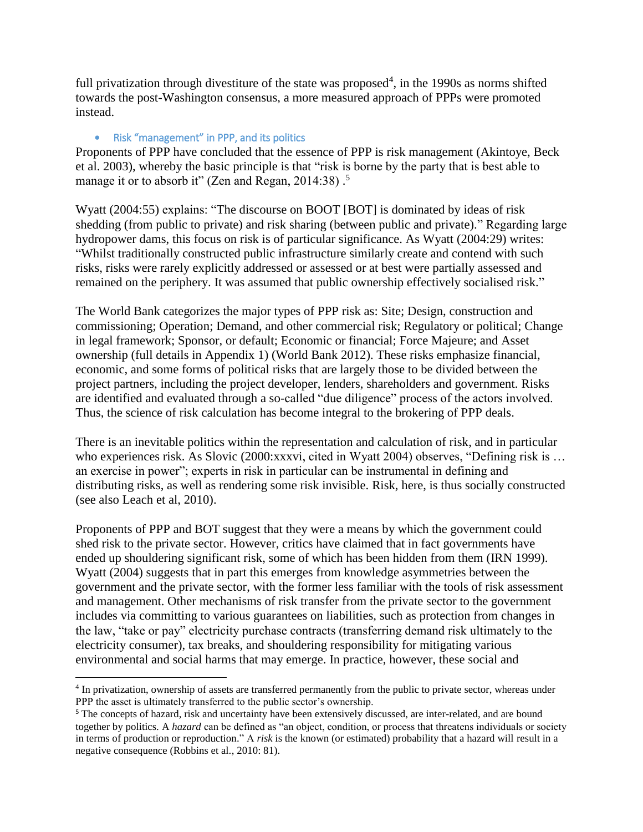full privatization through divestiture of the state was proposed<sup>4</sup>, in the 1990s as norms shifted towards the post-Washington consensus, a more measured approach of PPPs were promoted instead.

#### • Risk "management" in PPP, and its politics

 $\overline{\phantom{a}}$ 

Proponents of PPP have concluded that the essence of PPP is risk management (Akintoye, Beck et al. 2003), whereby the basic principle is that "risk is borne by the party that is best able to manage it or to absorb it" (Zen and Regan, 2014:38).<sup>5</sup>

Wyatt (2004:55) explains: "The discourse on BOOT [BOT] is dominated by ideas of risk shedding (from public to private) and risk sharing (between public and private)." Regarding large hydropower dams, this focus on risk is of particular significance. As Wyatt (2004:29) writes: "Whilst traditionally constructed public infrastructure similarly create and contend with such risks, risks were rarely explicitly addressed or assessed or at best were partially assessed and remained on the periphery. It was assumed that public ownership effectively socialised risk."

The World Bank categorizes the major types of PPP risk as: Site; Design, construction and commissioning; Operation; Demand, and other commercial risk; Regulatory or political; Change in legal framework; Sponsor, or default; Economic or financial; Force Majeure; and Asset ownership (full details in Appendix 1) (World Bank 2012). These risks emphasize financial, economic, and some forms of political risks that are largely those to be divided between the project partners, including the project developer, lenders, shareholders and government. Risks are identified and evaluated through a so-called "due diligence" process of the actors involved. Thus, the science of risk calculation has become integral to the brokering of PPP deals.

There is an inevitable politics within the representation and calculation of risk, and in particular who experiences risk. As Slovic (2000:xxxvi, cited in Wyatt 2004) observes, "Defining risk is ... an exercise in power"; experts in risk in particular can be instrumental in defining and distributing risks, as well as rendering some risk invisible. Risk, here, is thus socially constructed (see also Leach et al, 2010).

Proponents of PPP and BOT suggest that they were a means by which the government could shed risk to the private sector. However, critics have claimed that in fact governments have ended up shouldering significant risk, some of which has been hidden from them (IRN 1999). Wyatt (2004) suggests that in part this emerges from knowledge asymmetries between the government and the private sector, with the former less familiar with the tools of risk assessment and management. Other mechanisms of risk transfer from the private sector to the government includes via committing to various guarantees on liabilities, such as protection from changes in the law, "take or pay" electricity purchase contracts (transferring demand risk ultimately to the electricity consumer), tax breaks, and shouldering responsibility for mitigating various environmental and social harms that may emerge. In practice, however, these social and

<sup>4</sup> In privatization, ownership of assets are transferred permanently from the public to private sector, whereas under PPP the asset is ultimately transferred to the public sector's ownership.

<sup>5</sup> The concepts of hazard, risk and uncertainty have been extensively discussed, are inter-related, and are bound together by politics. A *hazard* can be defined as "an object, condition, or process that threatens individuals or society in terms of production or reproduction." A *risk* is the known (or estimated) probability that a hazard will result in a negative consequence (Robbins et al., 2010: 81).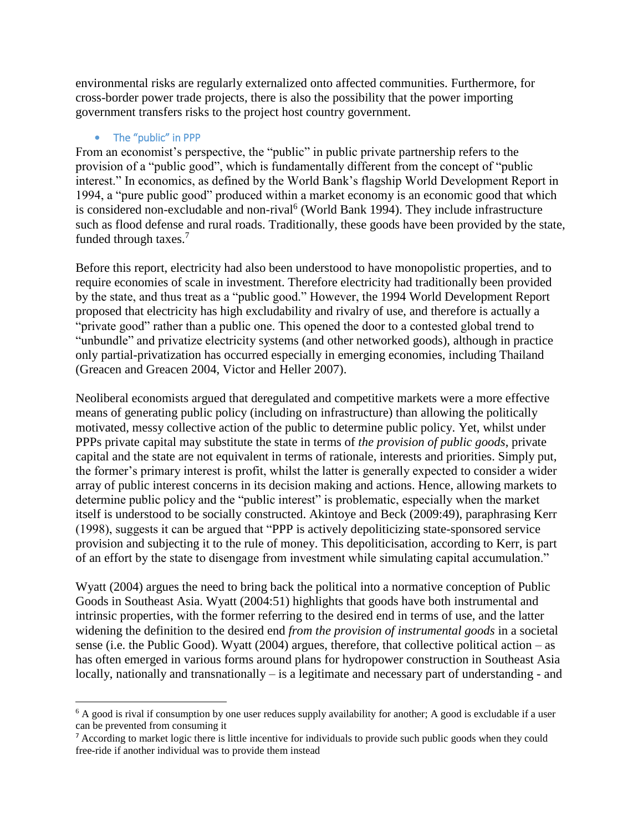environmental risks are regularly externalized onto affected communities. Furthermore, for cross-border power trade projects, there is also the possibility that the power importing government transfers risks to the project host country government.

#### • The "public" in PPP

 $\overline{a}$ 

From an economist's perspective, the "public" in public private partnership refers to the provision of a "public good", which is fundamentally different from the concept of "public interest." In economics, as defined by the World Bank's flagship World Development Report in 1994, a "pure public good" produced within a market economy is an economic good that which is considered non-excludable and non-rival<sup>6</sup> (World Bank 1994). They include infrastructure such as flood defense and rural roads. Traditionally, these goods have been provided by the state, funded through taxes.<sup>7</sup>

Before this report, electricity had also been understood to have monopolistic properties, and to require economies of scale in investment. Therefore electricity had traditionally been provided by the state, and thus treat as a "public good." However, the 1994 World Development Report proposed that electricity has high excludability and rivalry of use, and therefore is actually a "private good" rather than a public one. This opened the door to a contested global trend to "unbundle" and privatize electricity systems (and other networked goods), although in practice only partial-privatization has occurred especially in emerging economies, including Thailand (Greacen and Greacen 2004, Victor and Heller 2007).

Neoliberal economists argued that deregulated and competitive markets were a more effective means of generating public policy (including on infrastructure) than allowing the politically motivated, messy collective action of the public to determine public policy. Yet, whilst under PPPs private capital may substitute the state in terms of *the provision of public goods*, private capital and the state are not equivalent in terms of rationale, interests and priorities. Simply put, the former's primary interest is profit, whilst the latter is generally expected to consider a wider array of public interest concerns in its decision making and actions. Hence, allowing markets to determine public policy and the "public interest" is problematic, especially when the market itself is understood to be socially constructed. Akintoye and Beck (2009:49), paraphrasing Kerr (1998), suggests it can be argued that "PPP is actively depoliticizing state-sponsored service provision and subjecting it to the rule of money. This depoliticisation, according to Kerr, is part of an effort by the state to disengage from investment while simulating capital accumulation."

Wyatt (2004) argues the need to bring back the political into a normative conception of Public Goods in Southeast Asia. Wyatt (2004:51) highlights that goods have both instrumental and intrinsic properties, with the former referring to the desired end in terms of use, and the latter widening the definition to the desired end *from the provision of instrumental goods* in a societal sense (i.e. the Public Good). Wyatt (2004) argues, therefore, that collective political action – as has often emerged in various forms around plans for hydropower construction in Southeast Asia locally, nationally and transnationally – is a legitimate and necessary part of understanding - and

 $6$  A good is rival if consumption by one user reduces supply availability for another; A good is excludable if a user can be prevented from consuming it

<sup>&</sup>lt;sup>7</sup> According to market logic there is little incentive for individuals to provide such public goods when they could free-ride if another individual was to provide them instead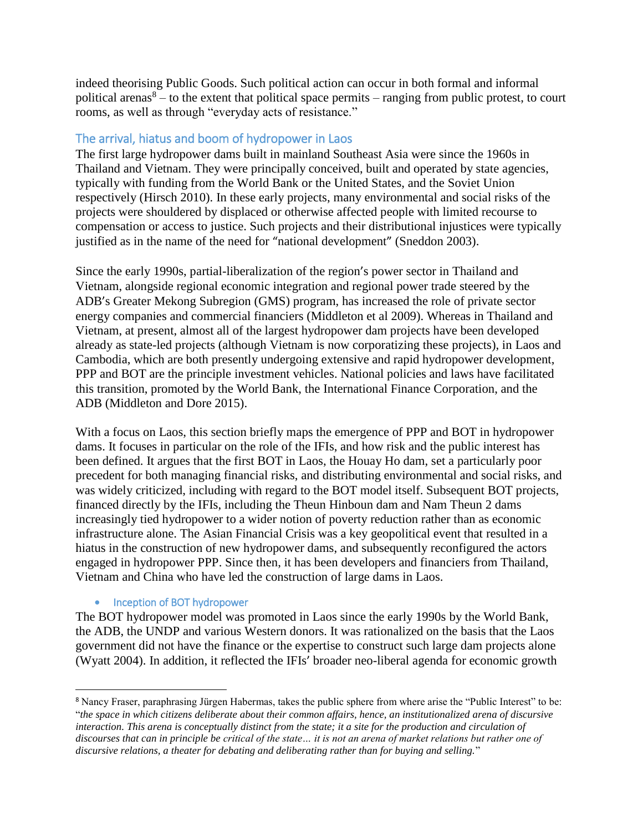indeed theorising Public Goods. Such political action can occur in both formal and informal political arenas<sup>8</sup> – to the extent that political space permits – ranging from public protest, to court rooms, as well as through "everyday acts of resistance."

## The arrival, hiatus and boom of hydropower in Laos

The first large hydropower dams built in mainland Southeast Asia were since the 1960s in Thailand and Vietnam. They were principally conceived, built and operated by state agencies, typically with funding from the World Bank or the United States, and the Soviet Union respectively (Hirsch 2010). In these early projects, many environmental and social risks of the projects were shouldered by displaced or otherwise affected people with limited recourse to compensation or access to justice. Such projects and their distributional injustices were typically justified as in the name of the need for "national development" (Sneddon 2003).

Since the early 1990s, partial-liberalization of the region's power sector in Thailand and Vietnam, alongside regional economic integration and regional power trade steered by the ADB's Greater Mekong Subregion (GMS) program, has increased the role of private sector energy companies and commercial financiers (Middleton et al 2009). Whereas in Thailand and Vietnam, at present, almost all of the largest hydropower dam projects have been developed already as state-led projects (although Vietnam is now corporatizing these projects), in Laos and Cambodia, which are both presently undergoing extensive and rapid hydropower development, PPP and BOT are the principle investment vehicles. National policies and laws have facilitated this transition, promoted by the World Bank, the International Finance Corporation, and the ADB (Middleton and Dore 2015).

With a focus on Laos, this section briefly maps the emergence of PPP and BOT in hydropower dams. It focuses in particular on the role of the IFIs, and how risk and the public interest has been defined. It argues that the first BOT in Laos, the Houay Ho dam, set a particularly poor precedent for both managing financial risks, and distributing environmental and social risks, and was widely criticized, including with regard to the BOT model itself. Subsequent BOT projects, financed directly by the IFIs, including the Theun Hinboun dam and Nam Theun 2 dams increasingly tied hydropower to a wider notion of poverty reduction rather than as economic infrastructure alone. The Asian Financial Crisis was a key geopolitical event that resulted in a hiatus in the construction of new hydropower dams, and subsequently reconfigured the actors engaged in hydropower PPP. Since then, it has been developers and financiers from Thailand, Vietnam and China who have led the construction of large dams in Laos.

#### • Inception of BOT hydropower

l

The BOT hydropower model was promoted in Laos since the early 1990s by the World Bank, the ADB, the UNDP and various Western donors. It was rationalized on the basis that the Laos government did not have the finance or the expertise to construct such large dam projects alone (Wyatt 2004). In addition, it reflected the IFIs' broader neo-liberal agenda for economic growth

<sup>8</sup> Nancy Fraser, paraphrasing Jürgen Habermas, takes the public sphere from where arise the "Public Interest" to be: "*the space in which citizens deliberate about their common affairs, hence, an institutionalized arena of discursive interaction. This arena is conceptually distinct from the state; it a site for the production and circulation of discourses that can in principle be critical of the state… it is not an arena of market relations but rather one of discursive relations, a theater for debating and deliberating rather than for buying and selling.*"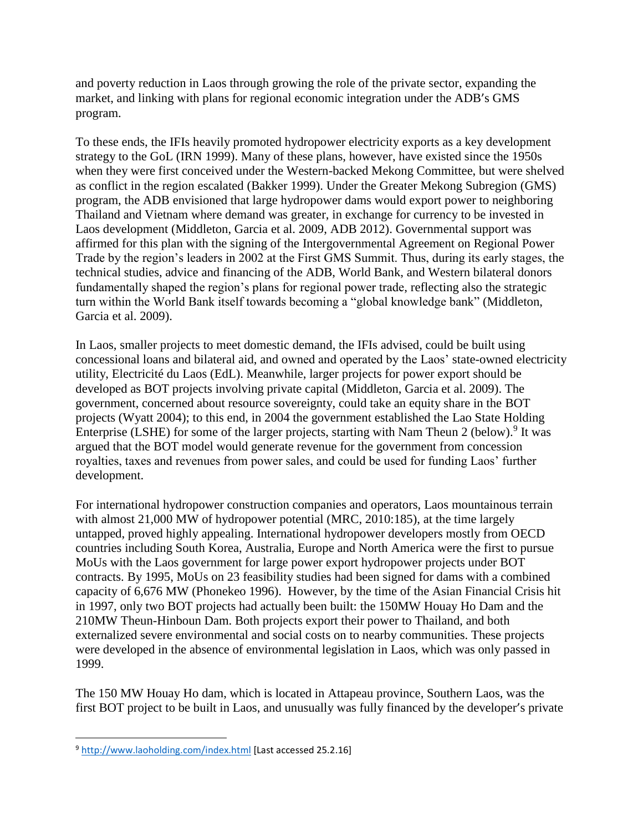and poverty reduction in Laos through growing the role of the private sector, expanding the market, and linking with plans for regional economic integration under the ADB's GMS program.

To these ends, the IFIs heavily promoted hydropower electricity exports as a key development strategy to the GoL (IRN 1999). Many of these plans, however, have existed since the 1950s when they were first conceived under the Western-backed Mekong Committee, but were shelved as conflict in the region escalated (Bakker 1999). Under the Greater Mekong Subregion (GMS) program, the ADB envisioned that large hydropower dams would export power to neighboring Thailand and Vietnam where demand was greater, in exchange for currency to be invested in Laos development (Middleton, Garcia et al. 2009, ADB 2012). Governmental support was affirmed for this plan with the signing of the Intergovernmental Agreement on Regional Power Trade by the region's leaders in 2002 at the First GMS Summit. Thus, during its early stages, the technical studies, advice and financing of the ADB, World Bank, and Western bilateral donors fundamentally shaped the region's plans for regional power trade, reflecting also the strategic turn within the World Bank itself towards becoming a "global knowledge bank" (Middleton, Garcia et al. 2009).

In Laos, smaller projects to meet domestic demand, the IFIs advised, could be built using concessional loans and bilateral aid, and owned and operated by the Laos' state-owned electricity utility, Electricité du Laos (EdL). Meanwhile, larger projects for power export should be developed as BOT projects involving private capital (Middleton, Garcia et al. 2009). The government, concerned about resource sovereignty, could take an equity share in the BOT projects (Wyatt 2004); to this end, in 2004 the government established the Lao State Holding Enterprise (LSHE) for some of the larger projects, starting with Nam Theun 2 (below).<sup>9</sup> It was argued that the BOT model would generate revenue for the government from concession royalties, taxes and revenues from power sales, and could be used for funding Laos' further development.

For international hydropower construction companies and operators, Laos mountainous terrain with almost 21,000 MW of hydropower potential (MRC, 2010:185), at the time largely untapped, proved highly appealing. International hydropower developers mostly from OECD countries including South Korea, Australia, Europe and North America were the first to pursue MoUs with the Laos government for large power export hydropower projects under BOT contracts. By 1995, MoUs on 23 feasibility studies had been signed for dams with a combined capacity of 6,676 MW (Phonekeo 1996). However, by the time of the Asian Financial Crisis hit in 1997, only two BOT projects had actually been built: the 150MW Houay Ho Dam and the 210MW Theun-Hinboun Dam. Both projects export their power to Thailand, and both externalized severe environmental and social costs on to nearby communities. These projects were developed in the absence of environmental legislation in Laos, which was only passed in 1999.

The 150 MW Houay Ho dam, which is located in Attapeau province, Southern Laos, was the first BOT project to be built in Laos, and unusually was fully financed by the developer's private

 $\overline{\phantom{a}}$ 

<sup>9</sup> <http://www.laoholding.com/index.html> [Last accessed 25.2.16]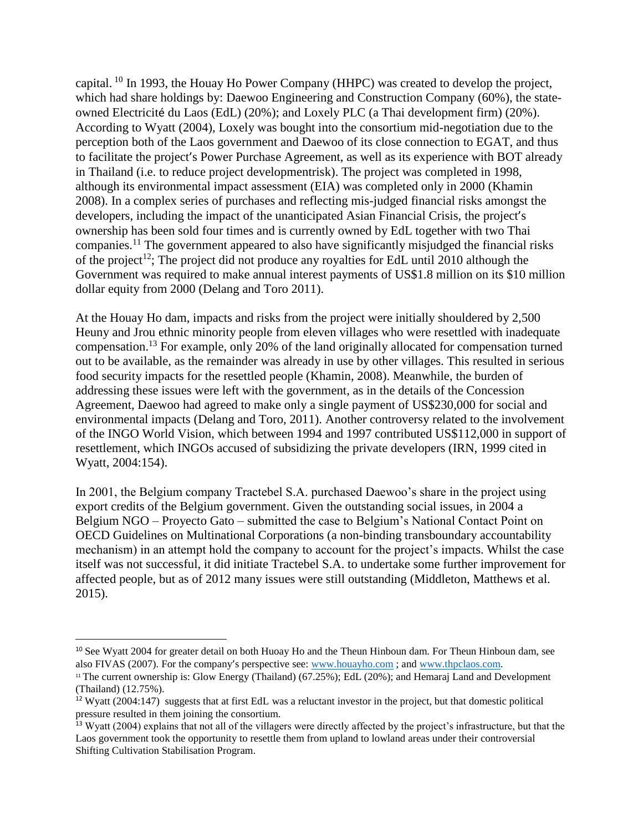capital. <sup>10</sup> In 1993, the Houay Ho Power Company (HHPC) was created to develop the project, which had share holdings by: Daewoo Engineering and Construction Company (60%), the stateowned Electricité du Laos (EdL) (20%); and Loxely PLC (a Thai development firm) (20%). According to Wyatt (2004), Loxely was bought into the consortium mid-negotiation due to the perception both of the Laos government and Daewoo of its close connection to EGAT, and thus to facilitate the project's Power Purchase Agreement, as well as its experience with BOT already in Thailand (i.e. to reduce project developmentrisk). The project was completed in 1998, although its environmental impact assessment (EIA) was completed only in 2000 (Khamin 2008). In a complex series of purchases and reflecting mis-judged financial risks amongst the developers, including the impact of the unanticipated Asian Financial Crisis, the project's ownership has been sold four times and is currently owned by EdL together with two Thai companies.<sup>11</sup> The government appeared to also have significantly misjudged the financial risks of the project<sup>12</sup>; The project did not produce any royalties for EdL until 2010 although the Government was required to make annual interest payments of US\$1.8 million on its \$10 million dollar equity from 2000 (Delang and Toro 2011).

At the Houay Ho dam, impacts and risks from the project were initially shouldered by 2,500 Heuny and Jrou ethnic minority people from eleven villages who were resettled with inadequate compensation.<sup>13</sup> For example, only 20% of the land originally allocated for compensation turned out to be available, as the remainder was already in use by other villages. This resulted in serious food security impacts for the resettled people (Khamin, 2008). Meanwhile, the burden of addressing these issues were left with the government, as in the details of the Concession Agreement, Daewoo had agreed to make only a single payment of US\$230,000 for social and environmental impacts (Delang and Toro, 2011). Another controversy related to the involvement of the INGO World Vision, which between 1994 and 1997 contributed US\$112,000 in support of resettlement, which INGOs accused of subsidizing the private developers (IRN, 1999 cited in Wyatt, 2004:154).

In 2001, the Belgium company Tractebel S.A. purchased Daewoo's share in the project using export credits of the Belgium government. Given the outstanding social issues, in 2004 a Belgium NGO – Proyecto Gato – submitted the case to Belgium's National Contact Point on OECD Guidelines on Multinational Corporations (a non-binding transboundary accountability mechanism) in an attempt hold the company to account for the project's impacts. Whilst the case itself was not successful, it did initiate Tractebel S.A. to undertake some further improvement for affected people, but as of 2012 many issues were still outstanding (Middleton, Matthews et al. 2015).

 $\overline{a}$ 

<sup>&</sup>lt;sup>10</sup> See Wyatt 2004 for greater detail on both Huoay Ho and the Theun Hinboun dam. For Theun Hinboun dam, see also FIVAS (2007). For the company's perspective see: [www.houayho.com](http://www.houayho.com/) ; and [www.thpclaos.com.](http://www.thpclaos.com/)

<sup>&</sup>lt;sup>11</sup> The current ownership is: Glow Energy (Thailand) (67.25%); EdL (20%); and Hemaraj Land and Development (Thailand) (12.75%).

<sup>&</sup>lt;sup>12</sup> Wyatt (2004:147) suggests that at first EdL was a reluctant investor in the project, but that domestic political pressure resulted in them joining the consortium.

<sup>&</sup>lt;sup>13</sup> Wyatt (2004) explains that not all of the villagers were directly affected by the project's infrastructure, but that the Laos government took the opportunity to resettle them from upland to lowland areas under their controversial Shifting Cultivation Stabilisation Program.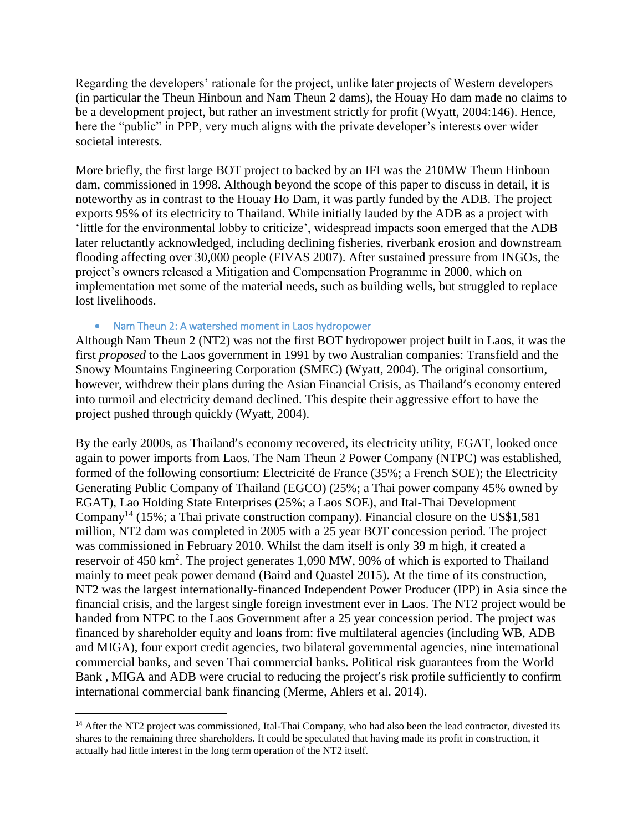Regarding the developers' rationale for the project, unlike later projects of Western developers (in particular the Theun Hinboun and Nam Theun 2 dams), the Houay Ho dam made no claims to be a development project, but rather an investment strictly for profit (Wyatt, 2004:146). Hence, here the "public" in PPP, very much aligns with the private developer's interests over wider societal interests.

More briefly, the first large BOT project to backed by an IFI was the 210MW Theun Hinboun dam, commissioned in 1998. Although beyond the scope of this paper to discuss in detail, it is noteworthy as in contrast to the Houay Ho Dam, it was partly funded by the ADB. The project exports 95% of its electricity to Thailand. While initially lauded by the ADB as a project with 'little for the environmental lobby to criticize', widespread impacts soon emerged that the ADB later reluctantly acknowledged, including declining fisheries, riverbank erosion and downstream flooding affecting over 30,000 people (FIVAS 2007). After sustained pressure from INGOs, the project's owners released a Mitigation and Compensation Programme in 2000, which on implementation met some of the material needs, such as building wells, but struggled to replace lost livelihoods.

#### • Nam Theun 2: A watershed moment in Laos hydropower

 $\overline{\phantom{a}}$ 

Although Nam Theun 2 (NT2) was not the first BOT hydropower project built in Laos, it was the first *proposed* to the Laos government in 1991 by two Australian companies: Transfield and the Snowy Mountains Engineering Corporation (SMEC) (Wyatt, 2004). The original consortium, however, withdrew their plans during the Asian Financial Crisis, as Thailand's economy entered into turmoil and electricity demand declined. This despite their aggressive effort to have the project pushed through quickly (Wyatt, 2004).

By the early 2000s, as Thailand's economy recovered, its electricity utility, EGAT, looked once again to power imports from Laos. The Nam Theun 2 Power Company (NTPC) was established, formed of the following consortium: Electricité de France (35%; a French SOE); the Electricity Generating Public Company of Thailand (EGCO) (25%; a Thai power company 45% owned by EGAT), Lao Holding State Enterprises (25%; a Laos SOE), and Ital-Thai Development Company<sup>14</sup> (15%; a Thai private construction company). Financial closure on the US\$1,581 million, NT2 dam was completed in 2005 with a 25 year BOT concession period. The project was commissioned in February 2010. Whilst the dam itself is only 39 m high, it created a reservoir of 450 km<sup>2</sup>. The project generates 1,090 MW, 90% of which is exported to Thailand mainly to meet peak power demand (Baird and Quastel 2015). At the time of its construction, NT2 was the largest internationally-financed Independent Power Producer (IPP) in Asia since the financial crisis, and the largest single foreign investment ever in Laos. The NT2 project would be handed from NTPC to the Laos Government after a 25 year concession period. The project was financed by shareholder equity and loans from: five multilateral agencies (including WB, ADB and MIGA), four export credit agencies, two bilateral governmental agencies, nine international commercial banks, and seven Thai commercial banks. Political risk guarantees from the World Bank , MIGA and ADB were crucial to reducing the project's risk profile sufficiently to confirm international commercial bank financing (Merme, Ahlers et al. 2014).

<sup>&</sup>lt;sup>14</sup> After the NT2 project was commissioned, Ital-Thai Company, who had also been the lead contractor, divested its shares to the remaining three shareholders. It could be speculated that having made its profit in construction, it actually had little interest in the long term operation of the NT2 itself.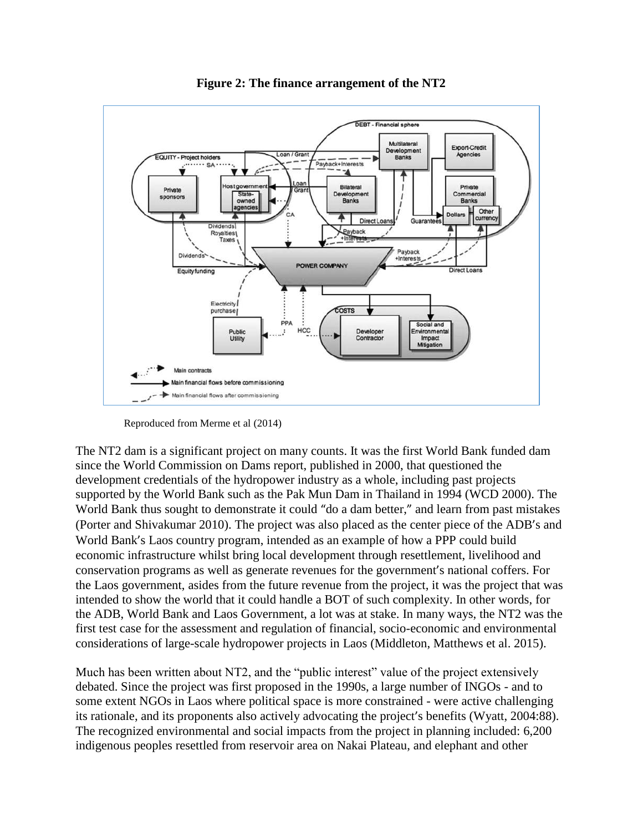

**Figure 2: The finance arrangement of the NT2**

Reproduced from Merme et al (2014)

The NT2 dam is a significant project on many counts. It was the first World Bank funded dam since the World Commission on Dams report, published in 2000, that questioned the development credentials of the hydropower industry as a whole, including past projects supported by the World Bank such as the Pak Mun Dam in Thailand in 1994 (WCD 2000). The World Bank thus sought to demonstrate it could "do a dam better," and learn from past mistakes (Porter and Shivakumar 2010). The project was also placed as the center piece of the ADB's and World Bank's Laos country program, intended as an example of how a PPP could build economic infrastructure whilst bring local development through resettlement, livelihood and conservation programs as well as generate revenues for the government's national coffers. For the Laos government, asides from the future revenue from the project, it was the project that was intended to show the world that it could handle a BOT of such complexity. In other words, for the ADB, World Bank and Laos Government, a lot was at stake. In many ways, the NT2 was the first test case for the assessment and regulation of financial, socio-economic and environmental considerations of large-scale hydropower projects in Laos (Middleton, Matthews et al. 2015).

Much has been written about NT2, and the "public interest" value of the project extensively debated. Since the project was first proposed in the 1990s, a large number of INGOs - and to some extent NGOs in Laos where political space is more constrained - were active challenging its rationale, and its proponents also actively advocating the project's benefits (Wyatt, 2004:88). The recognized environmental and social impacts from the project in planning included: 6,200 indigenous peoples resettled from reservoir area on Nakai Plateau, and elephant and other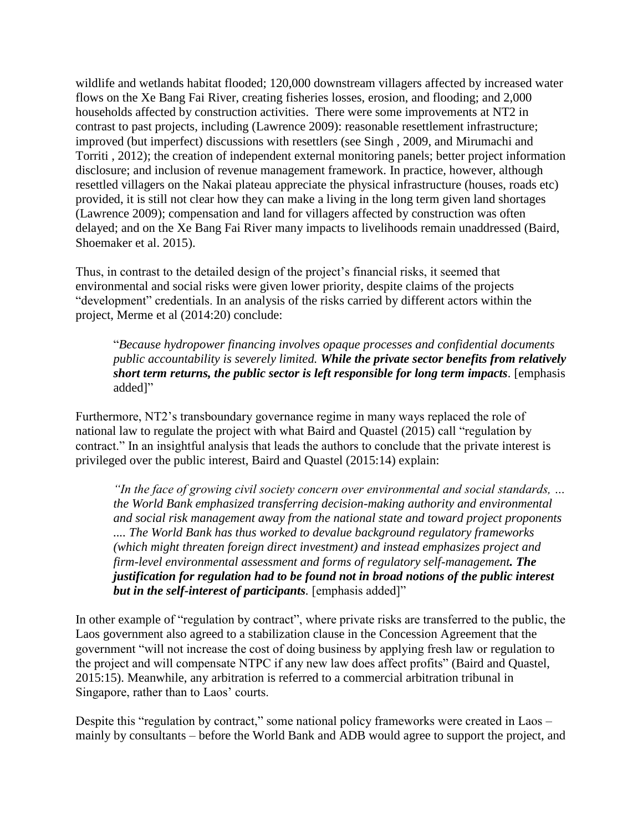wildlife and wetlands habitat flooded; 120,000 downstream villagers affected by increased water flows on the Xe Bang Fai River, creating fisheries losses, erosion, and flooding; and 2,000 households affected by construction activities. There were some improvements at NT2 in contrast to past projects, including (Lawrence 2009): reasonable resettlement infrastructure; improved (but imperfect) discussions with resettlers (see Singh , 2009, and Mirumachi and Torriti , 2012); the creation of independent external monitoring panels; better project information disclosure; and inclusion of revenue management framework. In practice, however, although resettled villagers on the Nakai plateau appreciate the physical infrastructure (houses, roads etc) provided, it is still not clear how they can make a living in the long term given land shortages (Lawrence 2009); compensation and land for villagers affected by construction was often delayed; and on the Xe Bang Fai River many impacts to livelihoods remain unaddressed (Baird, Shoemaker et al. 2015).

Thus, in contrast to the detailed design of the project's financial risks, it seemed that environmental and social risks were given lower priority, despite claims of the projects "development" credentials. In an analysis of the risks carried by different actors within the project, Merme et al (2014:20) conclude:

"*Because hydropower financing involves opaque processes and confidential documents public accountability is severely limited. While the private sector benefits from relatively short term returns, the public sector is left responsible for long term impacts.* [emphasis added]"

Furthermore, NT2's transboundary governance regime in many ways replaced the role of national law to regulate the project with what Baird and Quastel (2015) call "regulation by contract." In an insightful analysis that leads the authors to conclude that the private interest is privileged over the public interest, Baird and Quastel (2015:14) explain:

*"In the face of growing civil society concern over environmental and social standards, … the World Bank emphasized transferring decision-making authority and environmental and social risk management away from the national state and toward project proponents .... The World Bank has thus worked to devalue background regulatory frameworks (which might threaten foreign direct investment) and instead emphasizes project and firm-level environmental assessment and forms of regulatory self-management. The justification for regulation had to be found not in broad notions of the public interest but in the self-interest of participants.* [emphasis added]"

In other example of "regulation by contract", where private risks are transferred to the public, the Laos government also agreed to a stabilization clause in the Concession Agreement that the government "will not increase the cost of doing business by applying fresh law or regulation to the project and will compensate NTPC if any new law does affect profits" (Baird and Quastel, 2015:15). Meanwhile, any arbitration is referred to a commercial arbitration tribunal in Singapore, rather than to Laos' courts.

Despite this "regulation by contract," some national policy frameworks were created in Laos – mainly by consultants – before the World Bank and ADB would agree to support the project, and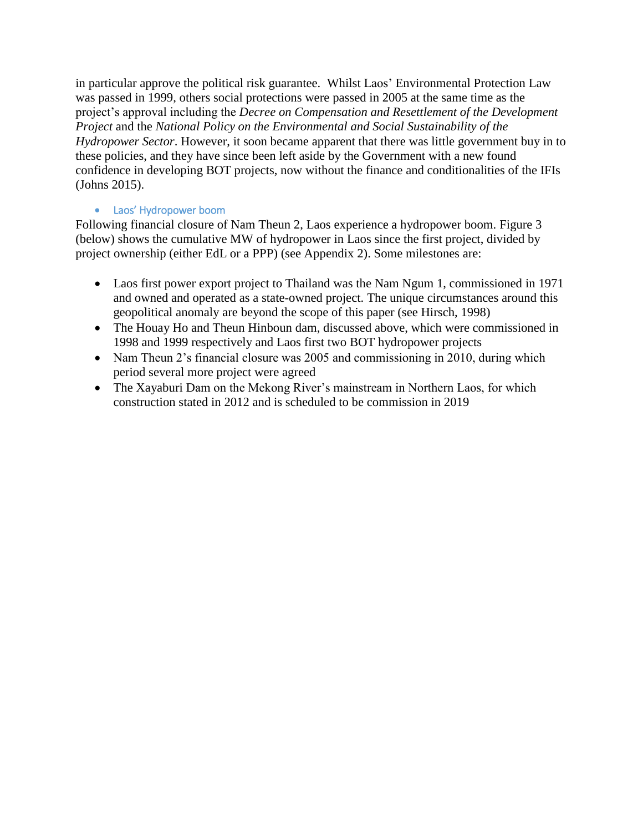in particular approve the political risk guarantee. Whilst Laos' Environmental Protection Law was passed in 1999, others social protections were passed in 2005 at the same time as the project's approval including the *Decree on Compensation and Resettlement of the Development Project* and the *National Policy on the Environmental and Social Sustainability of the Hydropower Sector*. However, it soon became apparent that there was little government buy in to these policies, and they have since been left aside by the Government with a new found confidence in developing BOT projects, now without the finance and conditionalities of the IFIs (Johns 2015).

### • Laos' Hydropower boom

Following financial closure of Nam Theun 2, Laos experience a hydropower boom. Figure 3 (below) shows the cumulative MW of hydropower in Laos since the first project, divided by project ownership (either EdL or a PPP) (see Appendix 2). Some milestones are:

- Laos first power export project to Thailand was the Nam Ngum 1, commissioned in 1971 and owned and operated as a state-owned project. The unique circumstances around this geopolitical anomaly are beyond the scope of this paper (see Hirsch, 1998)
- The Houay Ho and Theun Hinboun dam, discussed above, which were commissioned in 1998 and 1999 respectively and Laos first two BOT hydropower projects
- Nam Theun 2's financial closure was 2005 and commissioning in 2010, during which period several more project were agreed
- The Xayaburi Dam on the Mekong River's mainstream in Northern Laos, for which construction stated in 2012 and is scheduled to be commission in 2019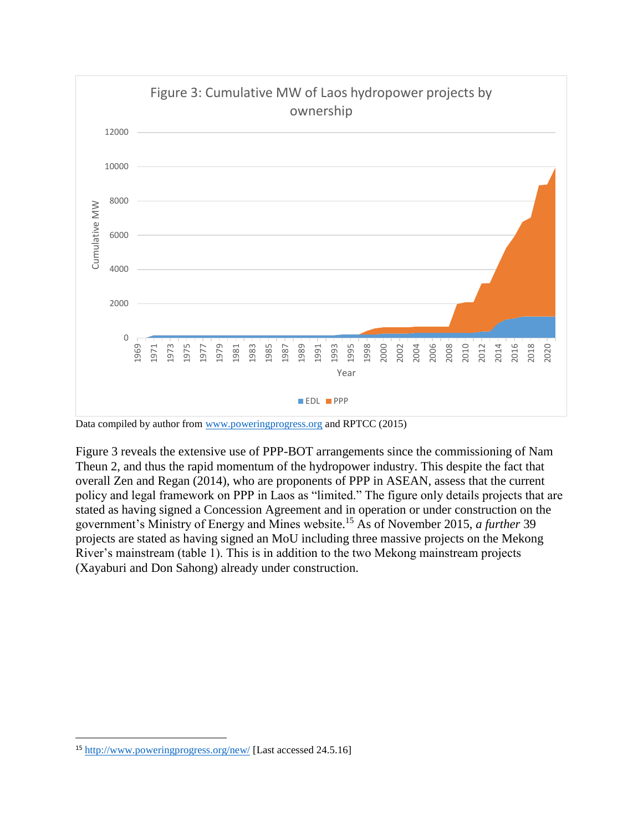

Data compiled by author fro[m www.poweringprogress.org](http://www.poweringprogress.org/) and RPTCC (2015)

Figure 3 reveals the extensive use of PPP-BOT arrangements since the commissioning of Nam Theun 2, and thus the rapid momentum of the hydropower industry. This despite the fact that overall Zen and Regan (2014), who are proponents of PPP in ASEAN, assess that the current policy and legal framework on PPP in Laos as "limited." The figure only details projects that are stated as having signed a Concession Agreement and in operation or under construction on the government's Ministry of Energy and Mines website.<sup>15</sup> As of November 2015, *a further* 39 projects are stated as having signed an MoU including three massive projects on the Mekong River's mainstream (table 1). This is in addition to the two Mekong mainstream projects (Xayaburi and Don Sahong) already under construction.

 $\overline{\phantom{a}}$ 

<sup>&</sup>lt;sup>15</sup> <http://www.poweringprogress.org/new/> [Last accessed 24.5.16]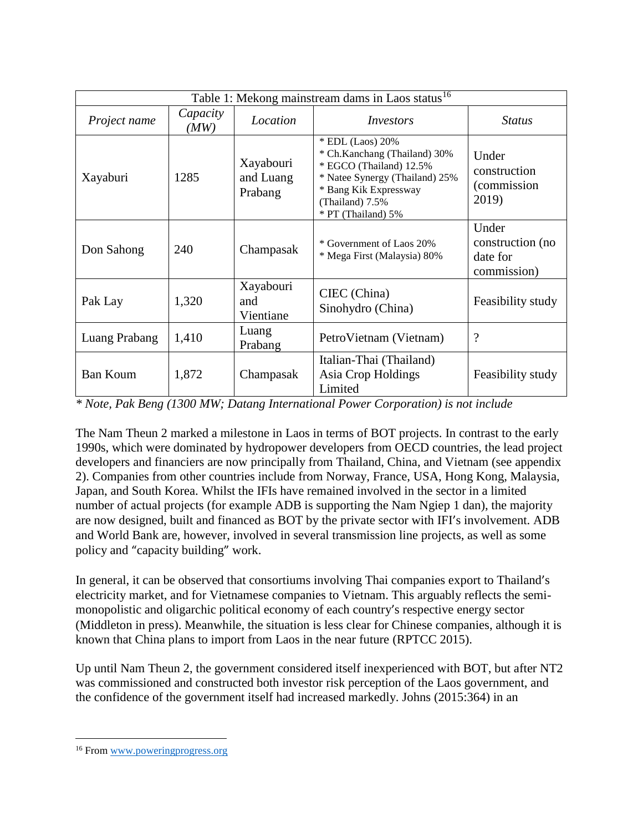| Table 1: Mekong mainstream dams in Laos status <sup>16</sup> |                  |                                   |                                                                                                                                                                                 |                                                      |  |  |
|--------------------------------------------------------------|------------------|-----------------------------------|---------------------------------------------------------------------------------------------------------------------------------------------------------------------------------|------------------------------------------------------|--|--|
| Project name                                                 | Capacity<br>(MW) | Location                          | Investors                                                                                                                                                                       | <i>Status</i>                                        |  |  |
| Xayaburi                                                     | 1285             | Xayabouri<br>and Luang<br>Prabang | * EDL (Laos) 20%<br>* Ch.Kanchang (Thailand) 30%<br>* EGCO (Thailand) 12.5%<br>* Natee Synergy (Thailand) 25%<br>* Bang Kik Expressway<br>(Thailand) 7.5%<br>* PT (Thailand) 5% | Under<br>construction<br>(commission)<br>2019)       |  |  |
| Don Sahong                                                   | 240              | Champasak                         | * Government of Laos 20%<br>* Mega First (Malaysia) 80%                                                                                                                         | Under<br>construction (no<br>date for<br>commission) |  |  |
| Pak Lay                                                      | 1,320            | Xayabouri<br>and<br>Vientiane     | CIEC (China)<br>Sinohydro (China)                                                                                                                                               | Feasibility study                                    |  |  |
| Luang Prabang                                                | 1,410            | Luang<br>Prabang                  | PetroVietnam (Vietnam)                                                                                                                                                          | $\overline{\cdot}$                                   |  |  |
| <b>Ban Koum</b>                                              | 1,872            | Champasak                         | Italian-Thai (Thailand)<br>Asia Crop Holdings<br>Limited                                                                                                                        | Feasibility study                                    |  |  |

*\* Note, Pak Beng (1300 MW; Datang International Power Corporation) is not include*

The Nam Theun 2 marked a milestone in Laos in terms of BOT projects. In contrast to the early 1990s, which were dominated by hydropower developers from OECD countries, the lead project developers and financiers are now principally from Thailand, China, and Vietnam (see appendix 2). Companies from other countries include from Norway, France, USA, Hong Kong, Malaysia, Japan, and South Korea. Whilst the IFIs have remained involved in the sector in a limited number of actual projects (for example ADB is supporting the Nam Ngiep 1 dan), the majority are now designed, built and financed as BOT by the private sector with IFI's involvement. ADB and World Bank are, however, involved in several transmission line projects, as well as some policy and "capacity building" work.

In general, it can be observed that consortiums involving Thai companies export to Thailand's electricity market, and for Vietnamese companies to Vietnam. This arguably reflects the semimonopolistic and oligarchic political economy of each country's respective energy sector (Middleton in press). Meanwhile, the situation is less clear for Chinese companies, although it is known that China plans to import from Laos in the near future (RPTCC 2015).

Up until Nam Theun 2, the government considered itself inexperienced with BOT, but after NT2 was commissioned and constructed both investor risk perception of the Laos government, and the confidence of the government itself had increased markedly. Johns (2015:364) in an

 $\overline{\phantom{a}}$ 

<sup>16</sup> From [www.poweringprogress.org](http://www.poweringprogress.org/)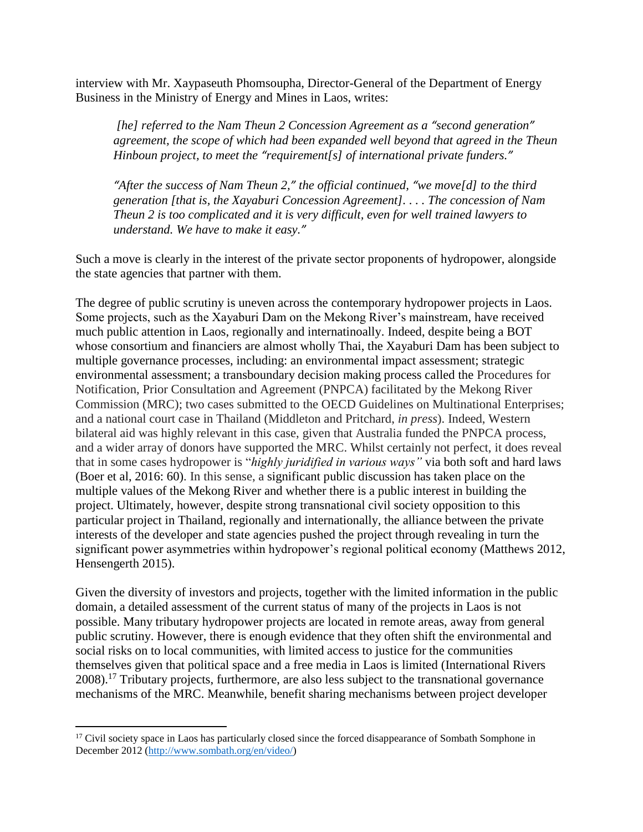interview with Mr. Xaypaseuth Phomsoupha, Director-General of the Department of Energy Business in the Ministry of Energy and Mines in Laos, writes:

*[he] referred to the Nam Theun 2 Concession Agreement as a "second generation" agreement, the scope of which had been expanded well beyond that agreed in the Theun Hinboun project, to meet the "requirement[s] of international private funders."*

*"After the success of Nam Theun 2," the official continued, "we move[d] to the third generation [that is, the Xayaburi Concession Agreement]. . . . The concession of Nam Theun 2 is too complicated and it is very difficult, even for well trained lawyers to understand. We have to make it easy."*

Such a move is clearly in the interest of the private sector proponents of hydropower, alongside the state agencies that partner with them.

The degree of public scrutiny is uneven across the contemporary hydropower projects in Laos. Some projects, such as the Xayaburi Dam on the Mekong River's mainstream, have received much public attention in Laos, regionally and internatinoally. Indeed, despite being a BOT whose consortium and financiers are almost wholly Thai, the Xayaburi Dam has been subject to multiple governance processes, including: an environmental impact assessment; strategic environmental assessment; a transboundary decision making process called the Procedures for Notification, Prior Consultation and Agreement (PNPCA) facilitated by the Mekong River Commission (MRC); two cases submitted to the OECD Guidelines on Multinational Enterprises; and a national court case in Thailand (Middleton and Pritchard, *in press*). Indeed, Western bilateral aid was highly relevant in this case, given that Australia funded the PNPCA process, and a wider array of donors have supported the MRC. Whilst certainly not perfect, it does reveal that in some cases hydropower is "*highly juridified in various ways"* via both soft and hard laws (Boer et al, 2016: 60). In this sense, a significant public discussion has taken place on the multiple values of the Mekong River and whether there is a public interest in building the project. Ultimately, however, despite strong transnational civil society opposition to this particular project in Thailand, regionally and internationally, the alliance between the private interests of the developer and state agencies pushed the project through revealing in turn the significant power asymmetries within hydropower's regional political economy (Matthews 2012, Hensengerth 2015).

Given the diversity of investors and projects, together with the limited information in the public domain, a detailed assessment of the current status of many of the projects in Laos is not possible. Many tributary hydropower projects are located in remote areas, away from general public scrutiny. However, there is enough evidence that they often shift the environmental and social risks on to local communities, with limited access to justice for the communities themselves given that political space and a free media in Laos is limited (International Rivers 2008).<sup>17</sup> Tributary projects, furthermore, are also less subject to the transnational governance mechanisms of the MRC. Meanwhile, benefit sharing mechanisms between project developer

 $\overline{a}$ 

<sup>&</sup>lt;sup>17</sup> Civil society space in Laos has particularly closed since the forced disappearance of Sombath Somphone in December 2012 [\(http://www.sombath.org/en/video/\)](http://www.sombath.org/en/video/)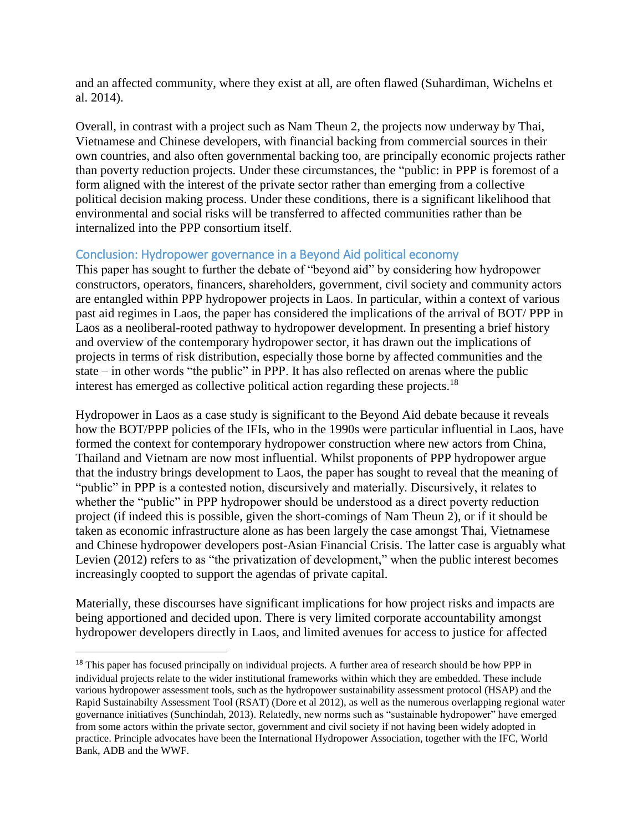and an affected community, where they exist at all, are often flawed (Suhardiman, Wichelns et al. 2014).

Overall, in contrast with a project such as Nam Theun 2, the projects now underway by Thai, Vietnamese and Chinese developers, with financial backing from commercial sources in their own countries, and also often governmental backing too, are principally economic projects rather than poverty reduction projects. Under these circumstances, the "public: in PPP is foremost of a form aligned with the interest of the private sector rather than emerging from a collective political decision making process. Under these conditions, there is a significant likelihood that environmental and social risks will be transferred to affected communities rather than be internalized into the PPP consortium itself.

# Conclusion: Hydropower governance in a Beyond Aid political economy

This paper has sought to further the debate of "beyond aid" by considering how hydropower constructors, operators, financers, shareholders, government, civil society and community actors are entangled within PPP hydropower projects in Laos. In particular, within a context of various past aid regimes in Laos, the paper has considered the implications of the arrival of BOT/ PPP in Laos as a neoliberal-rooted pathway to hydropower development. In presenting a brief history and overview of the contemporary hydropower sector, it has drawn out the implications of projects in terms of risk distribution, especially those borne by affected communities and the state – in other words "the public" in PPP. It has also reflected on arenas where the public interest has emerged as collective political action regarding these projects.<sup>18</sup>

Hydropower in Laos as a case study is significant to the Beyond Aid debate because it reveals how the BOT/PPP policies of the IFIs, who in the 1990s were particular influential in Laos, have formed the context for contemporary hydropower construction where new actors from China, Thailand and Vietnam are now most influential. Whilst proponents of PPP hydropower argue that the industry brings development to Laos, the paper has sought to reveal that the meaning of "public" in PPP is a contested notion, discursively and materially. Discursively, it relates to whether the "public" in PPP hydropower should be understood as a direct poverty reduction project (if indeed this is possible, given the short-comings of Nam Theun 2), or if it should be taken as economic infrastructure alone as has been largely the case amongst Thai, Vietnamese and Chinese hydropower developers post-Asian Financial Crisis. The latter case is arguably what Levien (2012) refers to as "the privatization of development," when the public interest becomes increasingly coopted to support the agendas of private capital.

Materially, these discourses have significant implications for how project risks and impacts are being apportioned and decided upon. There is very limited corporate accountability amongst hydropower developers directly in Laos, and limited avenues for access to justice for affected

 $\overline{a}$ 

<sup>&</sup>lt;sup>18</sup> This paper has focused principally on individual projects. A further area of research should be how PPP in individual projects relate to the wider institutional frameworks within which they are embedded. These include various hydropower assessment tools, such as the hydropower sustainability assessment protocol (HSAP) and the Rapid Sustainabilty Assessment Tool (RSAT) (Dore et al 2012), as well as the numerous overlapping regional water governance initiatives (Sunchindah, 2013). Relatedly, new norms such as "sustainable hydropower" have emerged from some actors within the private sector, government and civil society if not having been widely adopted in practice. Principle advocates have been the International Hydropower Association, together with the IFC, World Bank, ADB and the WWF.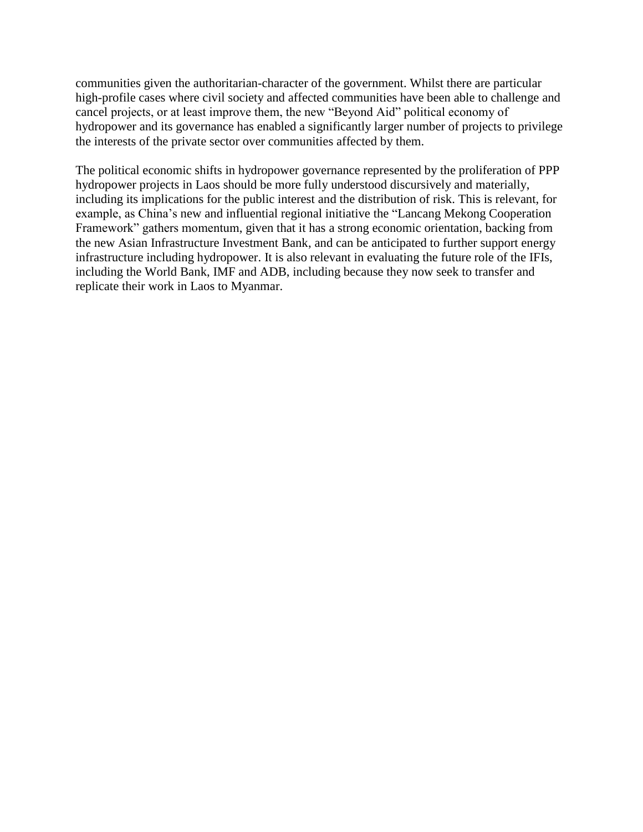communities given the authoritarian-character of the government. Whilst there are particular high-profile cases where civil society and affected communities have been able to challenge and cancel projects, or at least improve them, the new "Beyond Aid" political economy of hydropower and its governance has enabled a significantly larger number of projects to privilege the interests of the private sector over communities affected by them.

The political economic shifts in hydropower governance represented by the proliferation of PPP hydropower projects in Laos should be more fully understood discursively and materially, including its implications for the public interest and the distribution of risk. This is relevant, for example, as China's new and influential regional initiative the "Lancang Mekong Cooperation Framework" gathers momentum, given that it has a strong economic orientation, backing from the new Asian Infrastructure Investment Bank, and can be anticipated to further support energy infrastructure including hydropower. It is also relevant in evaluating the future role of the IFIs, including the World Bank, IMF and ADB, including because they now seek to transfer and replicate their work in Laos to Myanmar.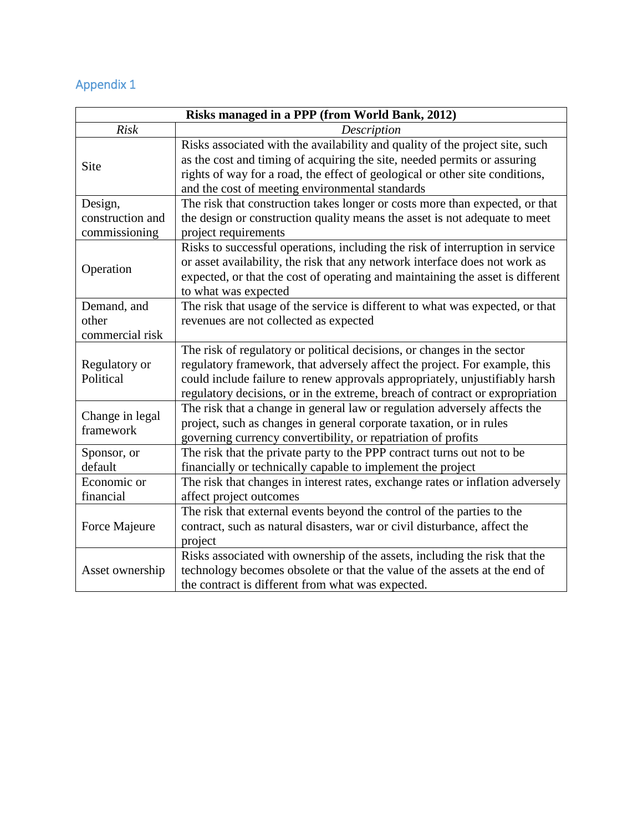# Appendix 1

| Risks managed in a PPP (from World Bank, 2012) |                                                                                                                                                                                                                                                                                                                      |  |  |  |
|------------------------------------------------|----------------------------------------------------------------------------------------------------------------------------------------------------------------------------------------------------------------------------------------------------------------------------------------------------------------------|--|--|--|
| <b>Risk</b>                                    | Description                                                                                                                                                                                                                                                                                                          |  |  |  |
| Site                                           | Risks associated with the availability and quality of the project site, such<br>as the cost and timing of acquiring the site, needed permits or assuring<br>rights of way for a road, the effect of geological or other site conditions,<br>and the cost of meeting environmental standards                          |  |  |  |
| Design,                                        | The risk that construction takes longer or costs more than expected, or that                                                                                                                                                                                                                                         |  |  |  |
| construction and<br>commissioning              | the design or construction quality means the asset is not adequate to meet<br>project requirements                                                                                                                                                                                                                   |  |  |  |
| Operation                                      | Risks to successful operations, including the risk of interruption in service<br>or asset availability, the risk that any network interface does not work as<br>expected, or that the cost of operating and maintaining the asset is different<br>to what was expected                                               |  |  |  |
| Demand, and                                    | The risk that usage of the service is different to what was expected, or that                                                                                                                                                                                                                                        |  |  |  |
| other<br>commercial risk                       | revenues are not collected as expected                                                                                                                                                                                                                                                                               |  |  |  |
| Regulatory or<br>Political                     | The risk of regulatory or political decisions, or changes in the sector<br>regulatory framework, that adversely affect the project. For example, this<br>could include failure to renew approvals appropriately, unjustifiably harsh<br>regulatory decisions, or in the extreme, breach of contract or expropriation |  |  |  |
| Change in legal<br>framework                   | The risk that a change in general law or regulation adversely affects the<br>project, such as changes in general corporate taxation, or in rules<br>governing currency convertibility, or repatriation of profits                                                                                                    |  |  |  |
| Sponsor, or<br>default                         | The risk that the private party to the PPP contract turns out not to be<br>financially or technically capable to implement the project                                                                                                                                                                               |  |  |  |
| Economic or<br>financial                       | The risk that changes in interest rates, exchange rates or inflation adversely<br>affect project outcomes                                                                                                                                                                                                            |  |  |  |
| Force Majeure                                  | The risk that external events beyond the control of the parties to the<br>contract, such as natural disasters, war or civil disturbance, affect the<br>project                                                                                                                                                       |  |  |  |
| Asset ownership                                | Risks associated with ownership of the assets, including the risk that the<br>technology becomes obsolete or that the value of the assets at the end of<br>the contract is different from what was expected.                                                                                                         |  |  |  |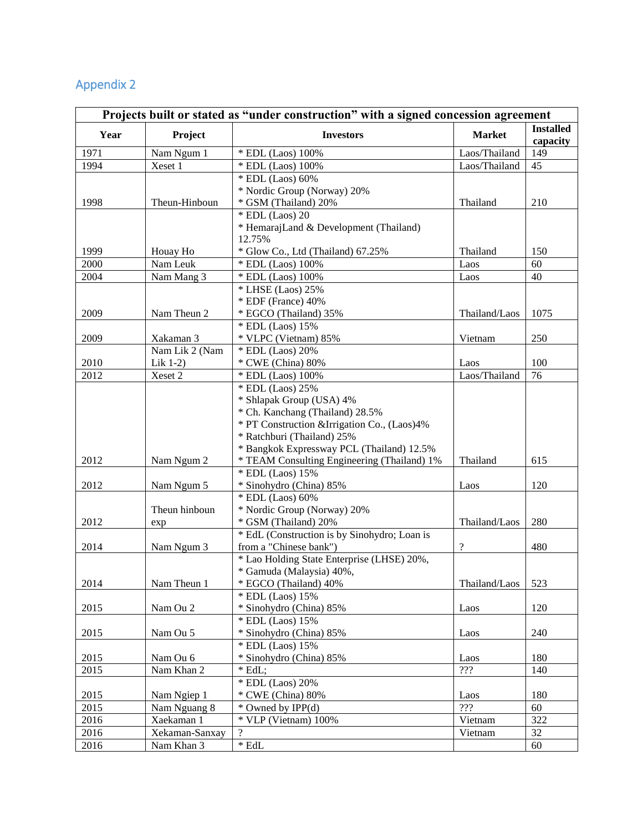# Appendix 2

| Projects built or stated as "under construction" with a signed concession agreement |                |                                                                        |                            |                              |  |  |
|-------------------------------------------------------------------------------------|----------------|------------------------------------------------------------------------|----------------------------|------------------------------|--|--|
| Year                                                                                | Project        | <b>Investors</b>                                                       |                            | <b>Installed</b><br>capacity |  |  |
| 1971                                                                                | Nam Ngum 1     | * EDL (Laos) 100%                                                      | Laos/Thailand              | 149                          |  |  |
| 1994                                                                                | Xeset 1        | * EDL (Laos) 100%                                                      | Laos/Thailand              | 45                           |  |  |
|                                                                                     |                | * EDL (Laos) 60%                                                       |                            |                              |  |  |
|                                                                                     |                | * Nordic Group (Norway) 20%                                            |                            |                              |  |  |
| 1998                                                                                | Theun-Hinboun  | * GSM (Thailand) 20%                                                   | Thailand                   | 210                          |  |  |
|                                                                                     |                | $*$ EDL (Laos) 20                                                      |                            |                              |  |  |
|                                                                                     |                | * HemarajLand & Development (Thailand)                                 |                            |                              |  |  |
|                                                                                     |                | 12.75%                                                                 |                            |                              |  |  |
| 1999                                                                                | Houay Ho       | * Glow Co., Ltd (Thailand) 67.25%                                      | Thailand                   | 150                          |  |  |
| 2000                                                                                | Nam Leuk       | * EDL (Laos) 100%                                                      | Laos                       | 60                           |  |  |
| 2004                                                                                | Nam Mang 3     | * EDL (Laos) 100%                                                      | Laos                       | 40                           |  |  |
|                                                                                     |                | * LHSE (Laos) 25%<br>* EDF (France) 40%                                |                            |                              |  |  |
| 2009                                                                                | Nam Theun 2    | * EGCO (Thailand) 35%                                                  | Thailand/Laos              | 1075                         |  |  |
|                                                                                     |                | * EDL (Laos) 15%                                                       |                            |                              |  |  |
| 2009                                                                                | Xakaman 3      | * VLPC (Vietnam) 85%                                                   | Vietnam                    | 250                          |  |  |
|                                                                                     | Nam Lik 2 (Nam | * EDL (Laos) 20%                                                       |                            |                              |  |  |
| 2010                                                                                | Lik 1-2)       | * CWE (China) 80%                                                      | Laos                       | 100                          |  |  |
| 2012                                                                                | Xeset 2        | * EDL (Laos) 100%                                                      | Laos/Thailand              | 76                           |  |  |
|                                                                                     |                | * EDL (Laos) 25%                                                       |                            |                              |  |  |
|                                                                                     |                | * Shlapak Group (USA) 4%                                               |                            |                              |  |  |
|                                                                                     |                | * Ch. Kanchang (Thailand) 28.5%                                        |                            |                              |  |  |
|                                                                                     |                | * PT Construction & Irrigation Co., (Laos)4%                           |                            |                              |  |  |
|                                                                                     |                | * Ratchburi (Thailand) 25%                                             |                            |                              |  |  |
|                                                                                     |                | * Bangkok Expressway PCL (Thailand) 12.5%                              |                            |                              |  |  |
| 2012                                                                                | Nam Ngum 2     | * TEAM Consulting Engineering (Thailand) 1%                            | Thailand                   | 615                          |  |  |
|                                                                                     |                | * EDL (Laos) 15%                                                       |                            |                              |  |  |
| 2012                                                                                | Nam Ngum 5     | * Sinohydro (China) 85%                                                | Laos                       | 120                          |  |  |
|                                                                                     |                | * EDL (Laos) 60%                                                       |                            |                              |  |  |
|                                                                                     | Theun hinboun  | * Nordic Group (Norway) 20%                                            |                            |                              |  |  |
| 2012                                                                                | exp            | * GSM (Thailand) 20%                                                   | Thailand/Laos              | 280                          |  |  |
|                                                                                     |                | * EdL (Construction is by Sinohydro; Loan is                           |                            |                              |  |  |
| 2014                                                                                | Nam Ngum 3     | from a "Chinese bank")                                                 | $\boldsymbol{\mathcal{P}}$ | 480                          |  |  |
|                                                                                     |                | * Lao Holding State Enterprise (LHSE) 20%,<br>* Gamuda (Malaysia) 40%, |                            |                              |  |  |
| 2014                                                                                | Nam Theun 1    | * EGCO (Thailand) 40%                                                  | Thailand/Laos              | 523                          |  |  |
|                                                                                     |                | * EDL (Laos) 15%                                                       |                            |                              |  |  |
| 2015                                                                                | Nam Ou 2       | * Sinohydro (China) 85%                                                | Laos                       | 120                          |  |  |
|                                                                                     |                | * EDL (Laos) 15%                                                       |                            |                              |  |  |
| 2015                                                                                | Nam Ou 5       | * Sinohydro (China) 85%                                                | Laos                       | 240                          |  |  |
|                                                                                     |                | * EDL (Laos) 15%                                                       |                            |                              |  |  |
| 2015                                                                                | Nam Ou 6       | * Sinohydro (China) 85%                                                | Laos                       | 180                          |  |  |
| 2015                                                                                | Nam Khan 2     | $*$ EdL;                                                               | ???                        | 140                          |  |  |
|                                                                                     |                | * EDL (Laos) 20%                                                       |                            |                              |  |  |
| 2015                                                                                | Nam Ngiep 1    | * CWE (China) 80%                                                      | Laos                       | 180                          |  |  |
| 2015                                                                                | Nam Nguang 8   | * Owned by IPP(d)                                                      | ???                        | 60                           |  |  |
| 2016                                                                                | Xaekaman 1     | * VLP (Vietnam) 100%                                                   | Vietnam                    | 322                          |  |  |
| 2016                                                                                | Xekaman-Sanxay | $\overline{?}$                                                         | Vietnam                    | 32                           |  |  |
| 2016                                                                                | Nam Khan 3     | $\,^*$ EdL                                                             |                            | 60                           |  |  |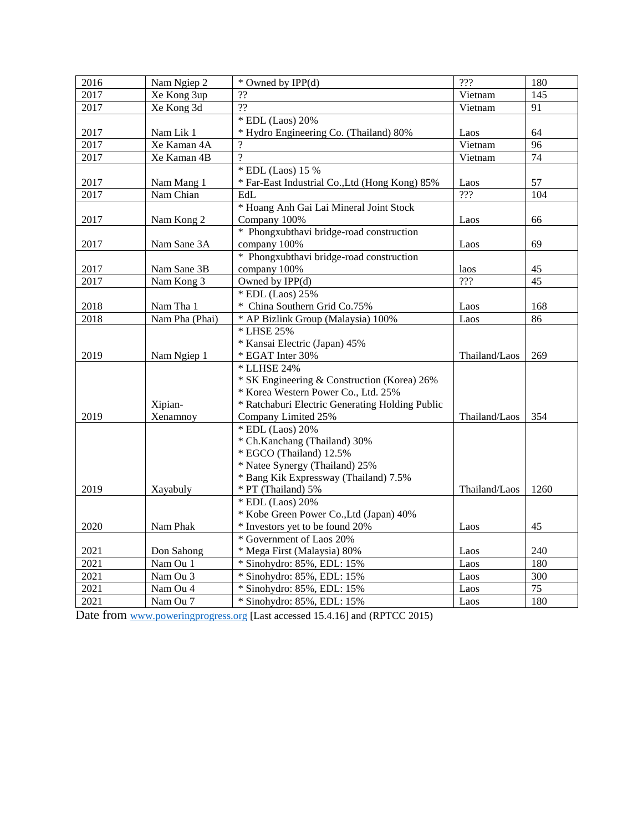| 2016 | Nam Ngiep 2    | * Owned by IPP(d)                               | ???           | 180  |
|------|----------------|-------------------------------------------------|---------------|------|
| 2017 | Xe Kong 3up    | $\overline{?}$                                  | Vietnam       | 145  |
| 2017 | Xe Kong 3d     | $\overline{22}$                                 | Vietnam       | 91   |
|      |                | * EDL (Laos) 20%                                |               |      |
| 2017 | Nam Lik 1      | * Hydro Engineering Co. (Thailand) 80%          | Laos          | 64   |
| 2017 | Xe Kaman 4A    | $\gamma$                                        | Vietnam       | 96   |
| 2017 | Xe Kaman 4B    | $\gamma$                                        | Vietnam       | 74   |
|      |                | * EDL (Laos) 15 %                               |               |      |
| 2017 | Nam Mang 1     | * Far-East Industrial Co., Ltd (Hong Kong) 85%  | Laos          | 57   |
| 2017 | Nam Chian      | EdL                                             | 722           | 104  |
|      |                | * Hoang Anh Gai Lai Mineral Joint Stock         |               |      |
| 2017 | Nam Kong 2     | Company 100%                                    | Laos          | 66   |
|      |                | * Phongxubthavi bridge-road construction        |               |      |
| 2017 | Nam Sane 3A    | company 100%                                    | Laos          | 69   |
|      |                | * Phongxubthavi bridge-road construction        |               |      |
| 2017 | Nam Sane 3B    | company 100%                                    | laos          | 45   |
| 2017 | Nam Kong 3     | Owned by IPP(d)                                 | ???           | 45   |
|      |                | * EDL (Laos) 25%                                |               |      |
| 2018 | Nam Tha 1      | * China Southern Grid Co.75%                    | Laos          | 168  |
| 2018 | Nam Pha (Phai) | * AP Bizlink Group (Malaysia) 100%              | Laos          | 86   |
|      |                | * LHSE 25%                                      |               |      |
|      |                | * Kansai Electric (Japan) 45%                   |               |      |
| 2019 | Nam Ngiep 1    | * EGAT Inter 30%                                | Thailand/Laos | 269  |
|      |                | * LLHSE 24%                                     |               |      |
|      |                | * SK Engineering & Construction (Korea) 26%     |               |      |
|      |                | * Korea Western Power Co., Ltd. 25%             |               |      |
|      | Xipian-        | * Ratchaburi Electric Generating Holding Public |               |      |
| 2019 | Xenamnoy       | Company Limited 25%                             | Thailand/Laos | 354  |
|      |                | * EDL (Laos) 20%                                |               |      |
|      |                | * Ch.Kanchang (Thailand) 30%                    |               |      |
|      |                | * EGCO (Thailand) 12.5%                         |               |      |
|      |                | * Natee Synergy (Thailand) 25%                  |               |      |
|      |                | * Bang Kik Expressway (Thailand) 7.5%           |               |      |
| 2019 | Xayabuly       | * PT (Thailand) 5%                              | Thailand/Laos | 1260 |
|      |                | * EDL (Laos) 20%                                |               |      |
|      |                | * Kobe Green Power Co., Ltd (Japan) 40%         |               |      |
| 2020 | Nam Phak       | * Investors yet to be found 20%                 | Laos          | 45   |
|      |                | * Government of Laos 20%                        |               |      |
| 2021 | Don Sahong     | * Mega First (Malaysia) 80%                     | Laos          | 240  |
| 2021 | Nam Ou 1       | * Sinohydro: 85%, EDL: 15%                      | Laos          | 180  |
| 2021 | Nam Ou 3       | * Sinohydro: 85%, EDL: 15%                      | Laos          | 300  |
| 2021 | Nam Ou 4       | * Sinohydro: 85%, EDL: 15%                      | Laos          | 75   |
| 2021 | Nam Ou 7       | * Sinohydro: 85%, EDL: 15%                      | Laos          | 180  |

Date from [www.poweringprogress.](http://www.poweringprogress/)org [Last accessed 15.4.16] and (RPTCC 2015)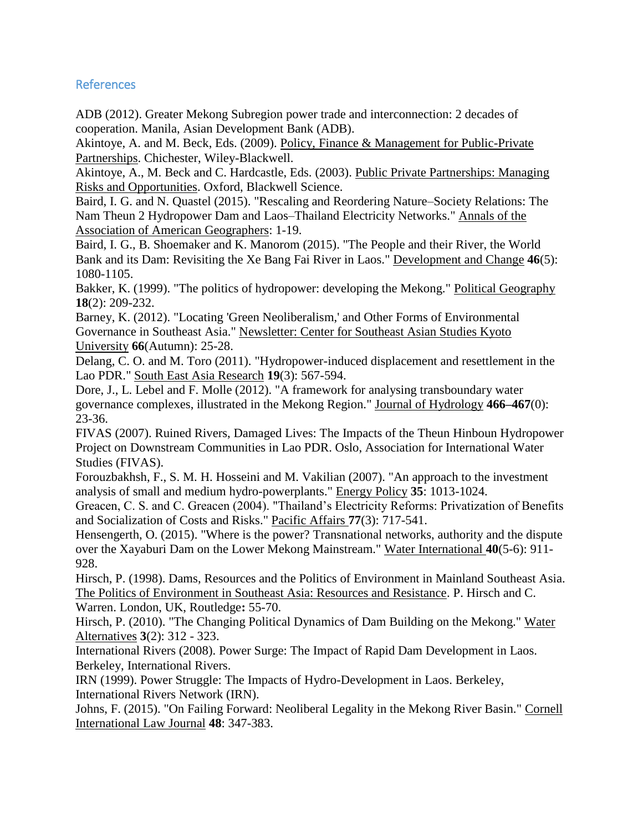# References

ADB (2012). Greater Mekong Subregion power trade and interconnection: 2 decades of cooperation. Manila, Asian Development Bank (ADB).

Akintoye, A. and M. Beck, Eds. (2009). Policy, Finance & Management for Public-Private Partnerships. Chichester, Wiley-Blackwell.

Akintoye, A., M. Beck and C. Hardcastle, Eds. (2003). Public Private Partnerships: Managing Risks and Opportunities. Oxford, Blackwell Science.

Baird, I. G. and N. Quastel (2015). "Rescaling and Reordering Nature–Society Relations: The Nam Theun 2 Hydropower Dam and Laos–Thailand Electricity Networks." Annals of the Association of American Geographers: 1-19.

Baird, I. G., B. Shoemaker and K. Manorom (2015). "The People and their River, the World Bank and its Dam: Revisiting the Xe Bang Fai River in Laos." Development and Change **46**(5): 1080-1105.

Bakker, K. (1999). "The politics of hydropower: developing the Mekong." Political Geography **18**(2): 209-232.

Barney, K. (2012). "Locating 'Green Neoliberalism,' and Other Forms of Environmental Governance in Southeast Asia." Newsletter: Center for Southeast Asian Studies Kyoto University **66**(Autumn): 25-28.

Delang, C. O. and M. Toro (2011). "Hydropower-induced displacement and resettlement in the Lao PDR." South East Asia Research **19**(3): 567-594.

Dore, J., L. Lebel and F. Molle (2012). "A framework for analysing transboundary water governance complexes, illustrated in the Mekong Region." Journal of Hydrology **466–467**(0): 23-36.

FIVAS (2007). Ruined Rivers, Damaged Lives: The Impacts of the Theun Hinboun Hydropower Project on Downstream Communities in Lao PDR. Oslo, Association for International Water Studies (FIVAS).

Forouzbakhsh, F., S. M. H. Hosseini and M. Vakilian (2007). "An approach to the investment analysis of small and medium hydro-powerplants." Energy Policy **35**: 1013-1024.

Greacen, C. S. and C. Greacen (2004). "Thailand's Electricity Reforms: Privatization of Benefits and Socialization of Costs and Risks." Pacific Affairs **77**(3): 717-541.

Hensengerth, O. (2015). "Where is the power? Transnational networks, authority and the dispute over the Xayaburi Dam on the Lower Mekong Mainstream." Water International **40**(5-6): 911- 928.

Hirsch, P. (1998). Dams, Resources and the Politics of Environment in Mainland Southeast Asia. The Politics of Environment in Southeast Asia: Resources and Resistance. P. Hirsch and C. Warren. London, UK, Routledge**:** 55-70.

Hirsch, P. (2010). "The Changing Political Dynamics of Dam Building on the Mekong." Water Alternatives **3**(2): 312 - 323.

International Rivers (2008). Power Surge: The Impact of Rapid Dam Development in Laos. Berkeley, International Rivers.

IRN (1999). Power Struggle: The Impacts of Hydro-Development in Laos. Berkeley, International Rivers Network (IRN).

Johns, F. (2015). "On Failing Forward: Neoliberal Legality in the Mekong River Basin." Cornell International Law Journal **48**: 347-383.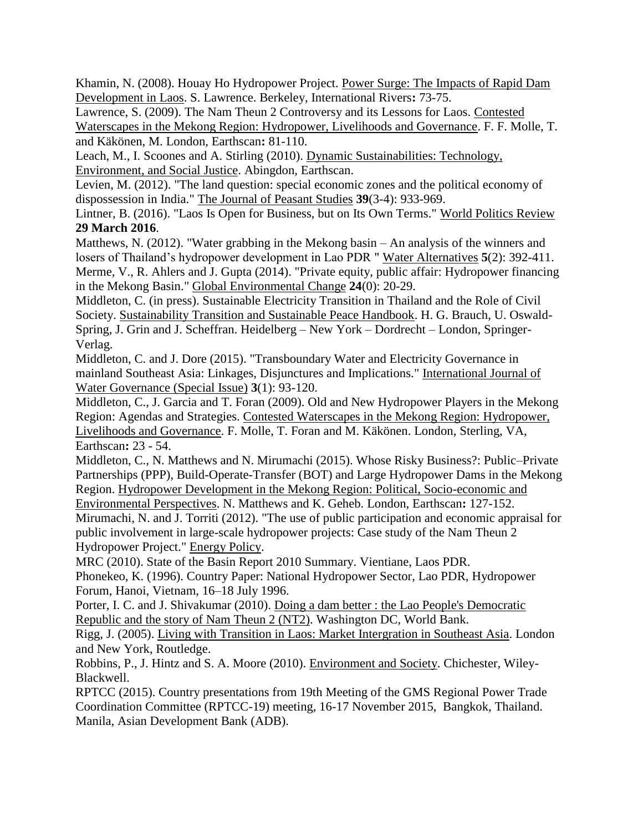Khamin, N. (2008). Houay Ho Hydropower Project. Power Surge: The Impacts of Rapid Dam Development in Laos. S. Lawrence. Berkeley, International Rivers**:** 73-75.

Lawrence, S. (2009). The Nam Theun 2 Controversy and its Lessons for Laos. Contested Waterscapes in the Mekong Region: Hydropower, Livelihoods and Governance. F. F. Molle, T. and Käkönen, M. London, Earthscan**:** 81-110.

Leach, M., I. Scoones and A. Stirling (2010). Dynamic Sustainabilities: Technology, Environment, and Social Justice. Abingdon, Earthscan.

Levien, M. (2012). "The land question: special economic zones and the political economy of dispossession in India." The Journal of Peasant Studies **39**(3-4): 933-969.

Lintner, B. (2016). "Laos Is Open for Business, but on Its Own Terms." World Politics Review **29 March 2016**.

Matthews, N. (2012). "Water grabbing in the Mekong basin – An analysis of the winners and losers of Thailand's hydropower development in Lao PDR " Water Alternatives **5**(2): 392-411. Merme, V., R. Ahlers and J. Gupta (2014). "Private equity, public affair: Hydropower financing in the Mekong Basin." Global Environmental Change **24**(0): 20-29.

Middleton, C. (in press). Sustainable Electricity Transition in Thailand and the Role of Civil Society. Sustainability Transition and Sustainable Peace Handbook. H. G. Brauch, U. Oswald-Spring, J. Grin and J. Scheffran. Heidelberg – New York – Dordrecht – London, Springer-Verlag.

Middleton, C. and J. Dore (2015). "Transboundary Water and Electricity Governance in mainland Southeast Asia: Linkages, Disjunctures and Implications." International Journal of Water Governance (Special Issue) **3**(1): 93-120.

Middleton, C., J. Garcia and T. Foran (2009). Old and New Hydropower Players in the Mekong Region: Agendas and Strategies. Contested Waterscapes in the Mekong Region: Hydropower, Livelihoods and Governance. F. Molle, T. Foran and M. Käkönen. London, Sterling, VA, Earthscan**:** 23 - 54.

Middleton, C., N. Matthews and N. Mirumachi (2015). Whose Risky Business?: Public–Private Partnerships (PPP), Build-Operate-Transfer (BOT) and Large Hydropower Dams in the Mekong Region. Hydropower Development in the Mekong Region: Political, Socio-economic and

Environmental Perspectives. N. Matthews and K. Geheb. London, Earthscan**:** 127-152. Mirumachi, N. and J. Torriti (2012). "The use of public participation and economic appraisal for public involvement in large-scale hydropower projects: Case study of the Nam Theun 2 Hydropower Project." Energy Policy.

MRC (2010). State of the Basin Report 2010 Summary. Vientiane, Laos PDR.

Phonekeo, K. (1996). Country Paper: National Hydropower Sector, Lao PDR, Hydropower Forum, Hanoi, Vietnam, 16–18 July 1996.

Porter, I. C. and J. Shivakumar (2010). Doing a dam better : the Lao People's Democratic Republic and the story of Nam Theun 2 (NT2). Washington DC, World Bank.

Rigg, J. (2005). Living with Transition in Laos: Market Intergration in Southeast Asia. London and New York, Routledge.

Robbins, P., J. Hintz and S. A. Moore (2010). Environment and Society. Chichester, Wiley-Blackwell.

RPTCC (2015). Country presentations from 19th Meeting of the GMS Regional Power Trade Coordination Committee (RPTCC-19) meeting, 16-17 November 2015, Bangkok, Thailand. Manila, Asian Development Bank (ADB).